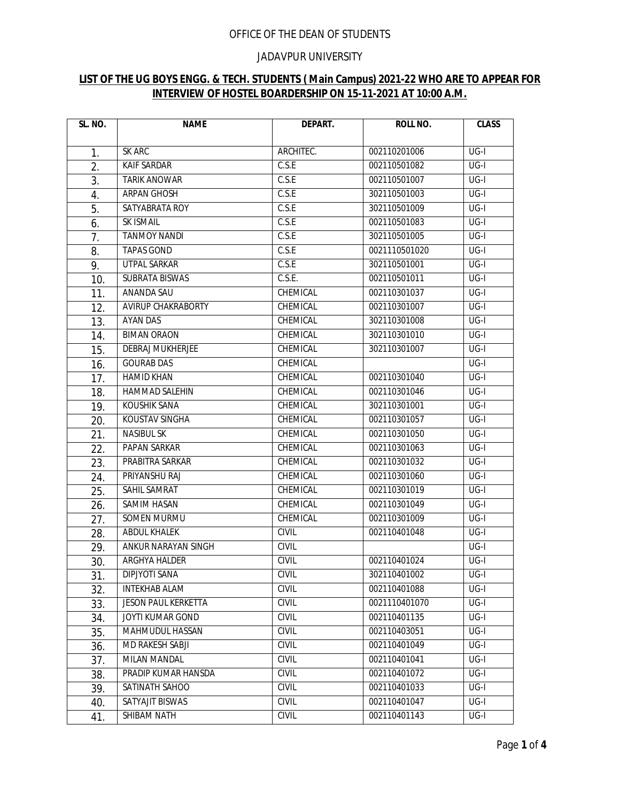## OFFICE OF THE DEAN OF STUDENTS

## JADAVPUR UNIVERSITY

## **LIST OF THE UG BOYS ENGG. & TECH. STUDENTS ( Main Campus) 2021-22 WHO ARE TO APPEAR FOR INTERVIEW OF HOSTEL BOARDERSHIP ON 15-11-2021 AT 10:00 A.M.**

| SL. NO.        | <b>NAME</b>                | DEPART.      | <b>ROLL NO.</b> | <b>CLASS</b>      |
|----------------|----------------------------|--------------|-----------------|-------------------|
|                |                            |              |                 |                   |
| $\mathbf{1}$ . | <b>SK ARC</b>              | ARCHITEC.    | 002110201006    | $UG-I$            |
| 2.             | <b>KAIF SARDAR</b>         | C.S.E        | 002110501082    | $UG-I$            |
| 3.             | <b>TARIK ANOWAR</b>        | C.S.E        | 002110501007    | $UG-I$            |
| 4.             | ARPAN GHOSH                | C.S.E        | 302110501003    | UG-I              |
| 5.             | SATYABRATA ROY             | C.S.E        | 302110501009    | UG-I              |
| 6.             | SK ISMAIL                  | C.S.E        | 002110501083    | $UG-I$            |
| 7.             | <b>TANMOY NANDI</b>        | C.S.E        | 302110501005    | $UG-I$            |
| 8.             | <b>TAPAS GOND</b>          | C.S.E        | 0021110501020   | $UG-I$            |
| 9.             | UTPAL SARKAR               | C.S.E        | 302110501001    | $UG-I$            |
| 10.            | <b>SUBRATA BISWAS</b>      | C.S.E.       | 002110501011    | $UG-I$            |
| 11.            | ANANDA SAU                 | CHEMICAL     | 002110301037    | UG-I              |
| 12.            | AVIRUP CHAKRABORTY         | CHEMICAL     | 002110301007    | UG-I              |
| 13.            | AYAN DAS                   | CHEMICAL     | 302110301008    | UG-I              |
| 14.            | <b>BIMAN ORAON</b>         | CHEMICAL     | 302110301010    | UG-I              |
| 15.            | <b>DEBRAJ MUKHERJEE</b>    | CHEMICAL     | 302110301007    | UG-I              |
| 16.            | <b>GOURAB DAS</b>          | CHEMICAL     |                 | $UG-I$            |
| 17.            | <b>HAMID KHAN</b>          | CHEMICAL     | 002110301040    | UG-I              |
| 18.            | HAMMAD SALEHIN             | CHEMICAL     | 002110301046    | UG-I              |
| 19.            | <b>KOUSHIK SANA</b>        | CHEMICAL     | 302110301001    | $UG-I$            |
| 20.            | KOUSTAV SINGHA             | CHEMICAL     | 002110301057    | UG-I              |
| 21.            | <b>NASIBUL SK</b>          | CHEMICAL     | 002110301050    | UG-I              |
| 22.            | <b>PAPAN SARKAR</b>        | CHEMICAL     | 002110301063    | $\overline{UG-I}$ |
| 23.            | PRABITRA SARKAR            | CHEMICAL     | 002110301032    | UG-I              |
| 24.            | PRIYANSHU RAJ              | CHEMICAL     | 002110301060    | UG-I              |
| 25.            | SAHIL SAMRAT               | CHEMICAL     | 002110301019    | UG-I              |
| 26.            | SAMIM HASAN                | CHEMICAL     | 002110301049    | UG-I              |
| 27.            | SOMEN MURMU                | CHEMICAL     | 002110301009    | UG-I              |
| 28.            | <b>ABDUL KHALEK</b>        | <b>CIVIL</b> | 002110401048    | UG-I              |
| 29.            | ANKUR NARAYAN SINGH        | <b>CIVIL</b> |                 | $UG-I$            |
| 30.            | ARGHYA HALDER              | <b>CIVIL</b> | 002110401024    | $UG-I$            |
| 31.            | DIPJYOTI SANA              | CIVIL        | 302110401002    | $UG-I$            |
| 32.            | <b>INTEKHAB ALAM</b>       | <b>CIVIL</b> | 002110401088    | $UG-I$            |
| 33.            | <b>JESON PAUL KERKETTA</b> | <b>CIVIL</b> | 0021110401070   | UG-I              |
| 34.            | JOYTI KUMAR GOND           | <b>CIVIL</b> | 002110401135    | UG-I              |
| 35.            | MAHMUDUL HASSAN            | CIVIL        | 002110403051    | UG-I              |
| 36.            | MD RAKESH SABJI            | <b>CIVIL</b> | 002110401049    | UG-I              |
| 37.            | MILAN MANDAL               | <b>CIVIL</b> | 002110401041    | UG-I              |
| 38.            | PRADIP KUMAR HANSDA        | CIVIL        | 002110401072    | $UG-I$            |
| 39.            | SATINATH SAHOO             | <b>CIVIL</b> | 002110401033    | UG-I              |
| 40.            | SATYAJIT BISWAS            | <b>CIVIL</b> | 002110401047    | UG-I              |
| 41.            | SHIBAM NATH                | CIVIL        | 002110401143    | $UG-I$            |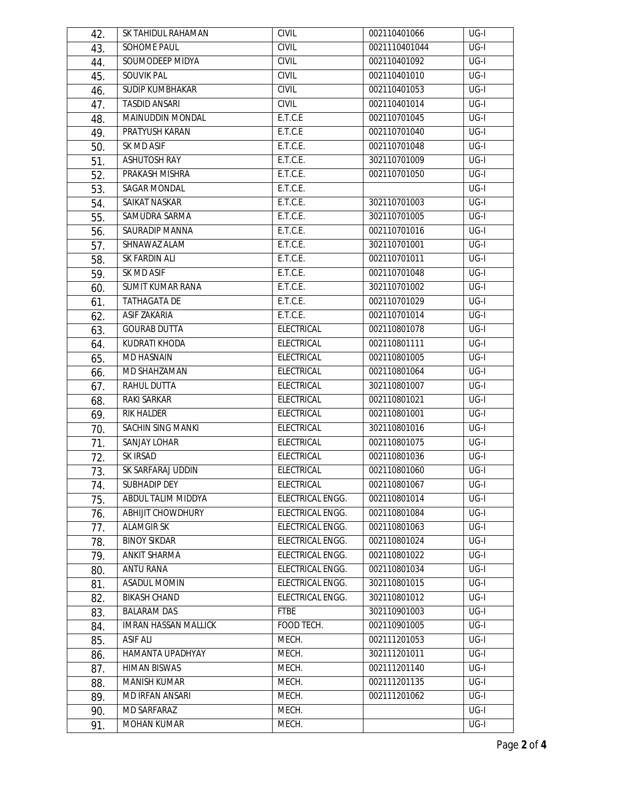| 42. | SK TAHIDUL RAHAMAN          | <b>CIVIL</b>      | 002110401066  | UG-I             |
|-----|-----------------------------|-------------------|---------------|------------------|
| 43. | SOHOME PAUL                 | <b>CIVIL</b>      | 0021110401044 | $UG-I$           |
| 44. | SOUMODEEP MIDYA             | <b>CIVIL</b>      | 002110401092  | $UG-I$           |
| 45. | <b>SOUVIK PAL</b>           | <b>CIVIL</b>      | 002110401010  | $UG-I$           |
| 46. | SUDIP KUMBHAKAR             | <b>CIVIL</b>      | 002110401053  | $UG-I$           |
| 47. | <b>TASDID ANSARI</b>        | <b>CIVIL</b>      | 002110401014  | $UG-I$           |
| 48. | MAINUDDIN MONDAL            | E.T.C.E           | 002110701045  | $UG-I$           |
| 49. | PRATYUSH KARAN              | E.T.C.E           | 002110701040  | $UG-I$           |
| 50. | <b>SK MD ASIF</b>           | E.T.C.E.          | 002110701048  | $UG-I$           |
| 51. | <b>ASHUTOSH RAY</b>         | E.T.C.E.          | 302110701009  | UG-I             |
| 52. | PRAKASH MISHRA              | E.T.C.E.          | 002110701050  | UG-I             |
| 53. | SAGAR MONDAL                | E.T.C.E.          |               | UG-I             |
| 54. | SAIKAT NASKAR               | E.T.C.E.          | 302110701003  | $UG-I$           |
| 55. | SAMUDRA SARMA               | E.T.C.E.          | 302110701005  | UG-I             |
| 56. | SAURADIP MANNA              | E.T.C.E.          | 002110701016  | $\overline{USI}$ |
| 57. | SHNAWAZ ALAM                | E.T.C.E.          | 302110701001  | $UG-I$           |
| 58. | SK FARDIN ALI               | E.T.C.E.          | 002110701011  | UG-I             |
| 59. | SK MD ASIF                  | E.T.C.E.          | 002110701048  | UG-I             |
| 60. | <b>SUMIT KUMAR RANA</b>     | E.T.C.E.          | 302110701002  | $\overline{USI}$ |
| 61. | <b>TATHAGATA DE</b>         | E.T.C.E.          | 002110701029  | UG-I             |
| 62. | <b>ASIF ZAKARIA</b>         | E.T.C.E.          | 002110701014  | UG-I             |
| 63. | <b>GOURAB DUTTA</b>         | <b>ELECTRICAL</b> | 002110801078  | UG-I             |
| 64. | KUDRATI KHODA               | ELECTRICAL        | 002110801111  | UG-I             |
| 65. | MD HASNAIN                  | <b>ELECTRICAL</b> | 002110801005  | UG-I             |
| 66. | MD SHAHZAMAN                | <b>ELECTRICAL</b> | 002110801064  | $\overline{USI}$ |
| 67. | <b>RAHUL DUTTA</b>          | ELECTRICAL        | 302110801007  | $UG-I$           |
| 68. | RAKI SARKAR                 | ELECTRICAL        | 002110801021  | UG-I             |
| 69. | RIK HALDER                  | <b>ELECTRICAL</b> | 002110801001  | $UG-I$           |
| 70. | SACHIN SING MANKI           | ELECTRICAL        | 302110801016  | $UG-I$           |
| 71. | SANJAY LOHAR                | <b>ELECTRICAL</b> | 002110801075  | UG-I             |
| 72. | <b>SK IRSAD</b>             | <b>ELECTRICAL</b> | 002110801036  | $UG-I$           |
| 73. | SK SARFARAJ UDDIN           | <b>ELECTRICAL</b> | 002110801060  | UG-I             |
| 74. | <b>SUBHADIP DEY</b>         | <b>ELECTRICAL</b> | 002110801067  | UG-I             |
| 75. | ABDUL TALIM MIDDYA          | ELECTRICAL ENGG.  | 002110801014  | UG-I             |
| 76. | <b>ABHIJIT CHOWDHURY</b>    | ELECTRICAL ENGG.  | 002110801084  | $UG-I$           |
| 77. | <b>ALAMGIR SK</b>           | ELECTRICAL ENGG.  | 002110801063  | UG-I             |
| 78. | <b>BINOY SIKDAR</b>         | ELECTRICAL ENGG.  | 002110801024  | UG-I             |
| 79. | ANKIT SHARMA                | ELECTRICAL ENGG.  | 002110801022  | $UG-I$           |
| 80. | ANTU RANA                   | ELECTRICAL ENGG.  | 002110801034  | UG-I             |
| 81. | <b>ASADUL MOMIN</b>         | ELECTRICAL ENGG.  | 302110801015  | UG-I             |
| 82. | <b>BIKASH CHAND</b>         | ELECTRICAL ENGG.  | 302110801012  | $\overline{USI}$ |
| 83. | <b>BALARAM DAS</b>          | <b>FTBE</b>       | 302110901003  | $UG-I$           |
| 84. | <b>IMRAN HASSAN MALLICK</b> | FOOD TECH.        | 002110901005  | UG-I             |
| 85. | <b>ASIF ALI</b>             | MECH.             | 002111201053  | $UG-I$           |
| 86. | HAMANTA UPADHYAY            | MECH.             | 302111201011  | UG-I             |
| 87. | <b>HIMAN BISWAS</b>         | MECH.             | 002111201140  | UG-I             |
| 88. | <b>MANISH KUMAR</b>         | MECH.             | 002111201135  | UG-I             |
| 89. | MD IRFAN ANSARI             | MECH.             | 002111201062  | UG-I             |
| 90. | MD SARFARAZ                 | MECH.             |               | UG-I             |
| 91. | MOHAN KUMAR                 | MECH.             |               | UG-I             |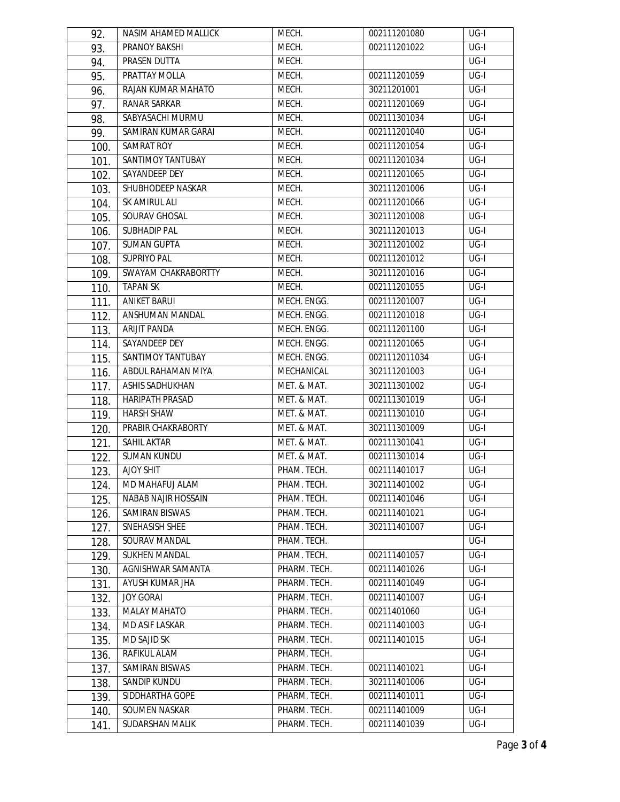| 92.  | NASIM AHAMED MALLICK       | MECH.        | 002111201080  | $UG-I$            |
|------|----------------------------|--------------|---------------|-------------------|
| 93.  | PRANOY BAKSHI              | MECH.        | 002111201022  | $\overline{UG-I}$ |
| 94.  | <b>PRASEN DUTTA</b>        | MECH.        |               | $UG-I$            |
| 95.  | PRATTAY MOLLA              | MECH.        | 002111201059  | $UG-I$            |
| 96.  | RAJAN KUMAR MAHATO         | MECH.        | 30211201001   | $UG-I$            |
| 97.  | <b>RANAR SARKAR</b>        | MECH.        | 002111201069  | $UG-I$            |
| 98.  | SABYASACHI MURMU           | MECH.        | 002111301034  | $\overline{UG-I}$ |
| 99.  | SAMIRAN KUMAR GARAI        | MECH.        | 002111201040  | UG-I              |
| 100. | SAMRAT ROY                 | MECH.        | 002111201054  | UG-I              |
| 101. | <b>SANTIMOY TANTUBAY</b>   | MECH.        | 002111201034  | UG-I              |
| 102. | SAYANDEEP DEY              | MECH.        | 002111201065  | $UG-I$            |
| 103. | SHUBHODEEP NASKAR          | MECH.        | 302111201006  | UG-I              |
| 104. | SK AMIRUL ALI              | MECH.        | 002111201066  | $\overline{UG-I}$ |
| 105. | SOURAV GHOSAL              | MECH.        | 302111201008  | $UG-I$            |
| 106. | <b>SUBHADIP PAL</b>        | MECH.        | 302111201013  | UG-I              |
| 107. | <b>SUMAN GUPTA</b>         | MECH.        | 302111201002  | $UG-I$            |
| 108. | SUPRIYO PAL                | MECH.        | 002111201012  | UG-I              |
| 109. | SWAYAM CHAKRABORTTY        | MECH.        | 302111201016  | UG-I              |
| 110. | <b>TAPAN SK</b>            | MECH.        | 002111201055  | $\overline{UG-I}$ |
| 111. | <b>ANIKET BARUI</b>        | MECH. ENGG.  | 002111201007  | $UG-I$            |
| 112. | ANSHUMAN MANDAL            | MECH. ENGG.  | 002111201018  | UG-I              |
| 113. | ARIJIT PANDA               | MECH. ENGG.  | 002111201100  | UG-I              |
| 114. | SAYANDEEP DEY              | MECH. ENGG.  | 002111201065  | UG-I              |
| 115. | SANTIMOY TANTUBAY          | MECH. ENGG.  | 0021112011034 | UG-I              |
| 116. | ABDUL RAHAMAN MIYA         | MECHANICAL   | 302111201003  | $\overline{USI}$  |
| 117. | <b>ASHIS SADHUKHAN</b>     | MET. & MAT.  | 302111301002  | $UG-I$            |
| 118. | HARIPATH PRASAD            | MET. & MAT.  | 002111301019  | UG-I              |
| 119. | <b>HARSH SHAW</b>          | MET. & MAT.  | 002111301010  | $UG-I$            |
| 120. | PRABIR CHAKRABORTY         | MET. & MAT.  | 302111301009  | $UG-I$            |
| 121. | SAHIL AKTAR                | MET. & MAT.  | 002111301041  | UG-I              |
| 122. | <b>SUMAN KUNDU</b>         | MET. & MAT.  | 002111301014  | $\overline{USI}$  |
| 123. | <b>AJOY SHIT</b>           | PHAM. TECH.  | 002111401017  | UG-I              |
| 124. | MD MAHAFUJ ALAM            | PHAM. TECH.  | 302111401002  | UG-I              |
| 125. | <b>NABAB NAJIR HOSSAIN</b> | PHAM. TECH.  | 002111401046  | UG-I              |
| 126. | SAMIRAN BISWAS             | PHAM. TECH.  | 002111401021  | $UG-I$            |
| 127. | SNEHASISH SHEE             | PHAM. TECH.  | 302111401007  | UG-I              |
| 128. | SOURAV MANDAL              | PHAM. TECH.  |               | UG-I              |
| 129. | <b>SUKHEN MANDAL</b>       | PHAM. TECH.  | 002111401057  | $UG-I$            |
| 130. | AGNISHWAR SAMANTA          | PHARM. TECH. | 002111401026  | UG-I              |
| 131. | AYUSH KUMAR JHA            | PHARM. TECH. | 002111401049  | UG-I              |
| 132. | <b>JOY GORAL</b>           | PHARM. TECH. | 002111401007  | UG-I              |
| 133. | <b>MALAY MAHATO</b>        | PHARM. TECH. | 00211401060   | UG-I              |
| 134. | MD ASIF LASKAR             | PHARM. TECH. | 002111401003  | UG-I              |
| 135. | MD SAJID SK                | PHARM. TECH. | 002111401015  | UG-I              |
| 136. | RAFIKUL ALAM               | PHARM. TECH. |               | UG-I              |
| 137. | SAMIRAN BISWAS             | PHARM. TECH. | 002111401021  | UG-I              |
| 138. | <b>SANDIP KUNDU</b>        | PHARM. TECH. | 302111401006  | UG-I              |
| 139. | SIDDHARTHA GOPE            | PHARM. TECH. | 002111401011  | UG-I              |
| 140. | SOUMEN NASKAR              | PHARM. TECH. | 002111401009  | UG-I              |
| 141. | SUDARSHAN MALIK            | PHARM. TECH. | 002111401039  | UG-I              |